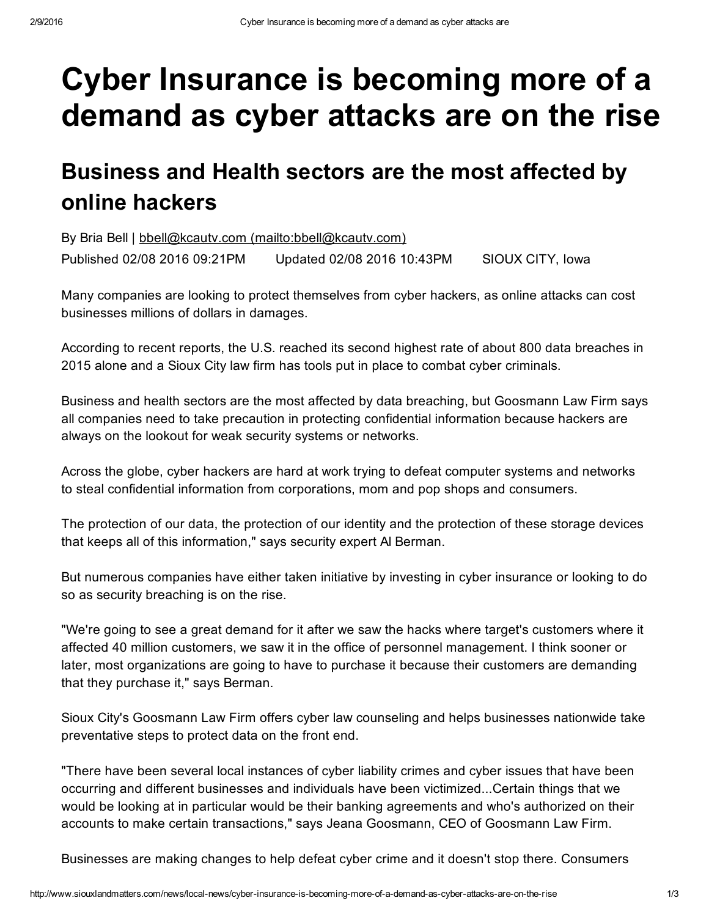## Cyber Insurance is becoming more of a demand as cyber attacks are on the rise

## Business and Health sectors are the most affected by online hackers

Published 02/08 2016 09:21PM Updated 02/08 2016 10:43PM By Bria Bell | bbell@kcautv.com [\(mailto:bbell@kcautv.com\)](mailto:bbell@kcautv.com) SIOUX CITY, Iowa

Many companies are looking to protect themselves from cyber hackers, as online attacks can cost businesses millions of dollars in damages.

According to recent reports, the U.S. reached its second highest rate of about 800 data breaches in 2015 alone and a Sioux City law firm has tools put in place to combat cyber criminals.

Business and health sectors are the most affected by data breaching, but Goosmann Law Firm says all companies need to take precaution in protecting confidential information because hackers are always on the lookout for weak security systems or networks.

Across the globe, cyber hackers are hard at work trying to defeat computer systems and networks to steal confidential information from corporations, mom and pop shops and consumers.

The protection of our data, the protection of our identity and the protection of these storage devices that keeps all of this information," says security expert Al Berman.

But numerous companies have either taken initiative by investing in cyber insurance or looking to do so as security breaching is on the rise.

"We're going to see a great demand for it after we saw the hacks where target's customers where it affected 40 million customers, we saw it in the office of personnel management. I think sooner or later, most organizations are going to have to purchase it because their customers are demanding that they purchase it," says Berman.

Sioux City's Goosmann Law Firm offers cyber law counseling and helps businesses nationwide take preventative steps to protect data on the front end.

"There have been several local instances of cyber liability crimes and cyber issues that have been occurring and different businesses and individuals have been victimized...Certain things that we would be looking at in particular would be their banking agreements and who's authorized on their accounts to make certain transactions," says Jeana Goosmann, CEO of Goosmann Law Firm.

Businesses are making changes to help defeat cyber crime and it doesn't stop there. Consumers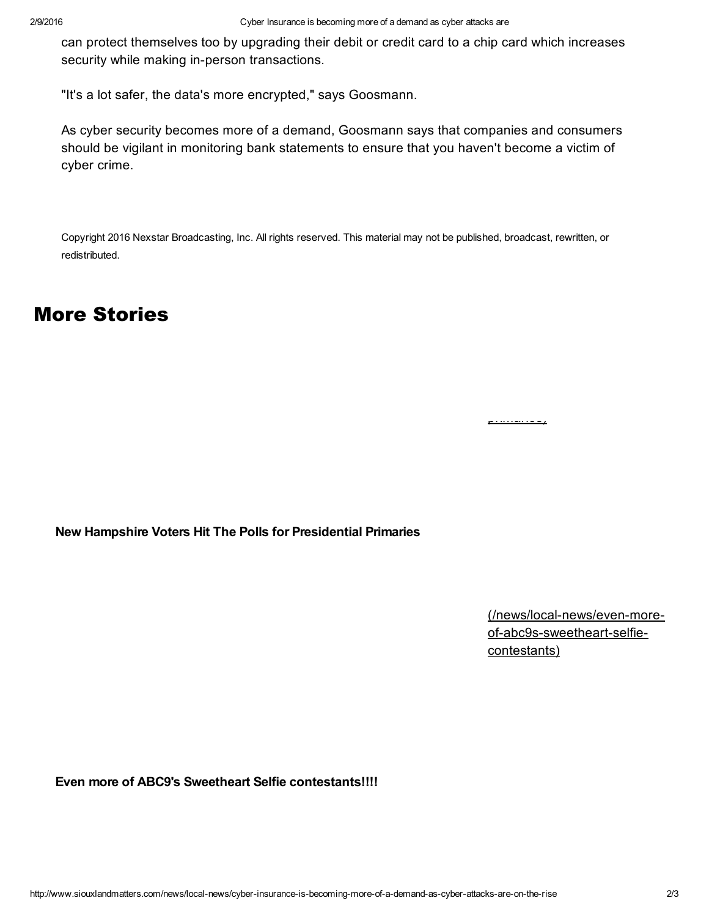can protect themselves too by upgrading their debit or credit card to a chip card which increases security while making in-person transactions.

"It's a lot safer, the data's more encrypted," says Goosmann.

As cyber security becomes more of a demand, Goosmann says that companies and consumers should be vigilant in monitoring bank statements to ensure that you haven't become a victim of cyber crime.

Copyright 2016 Nexstar Broadcasting, Inc. All rights reserved. This material may not be published, broadcast, rewritten, or redistributed.

## More Stories

New Hampshire Voters Hit The Polls for Presidential Primaries

(/news/local-news/even-moreof-abc9s-sweetheart-selfiecontestants)

primaries (

Even more of ABC9's Sweetheart Selfie contestants!!!!